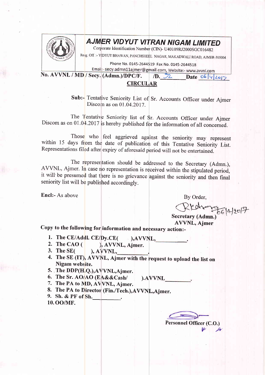

## AJMER VIDYUT VITRAN NIGAM LIMITED

Corporate Identification Number (CIN)- U40109RJ2000SGC016482

Re;g off :- vIDYUT BHAWAN, PANCHSHEEL NAGAR, MAKr\DWALI ROAD, AJMER-305004

Phone No. 0145-2644519 Fax No. 0145-2644518<br>Email:- secy.admn11ajmer@gmail.com, Website:- www.avvnl.com

No. AVVNL / MD / Secy. (Admn.)/DPC/F. D.  $2$  Date 06 4 2017

## CIRCULAR

Sub:- Tentative Seniority List of Sr. Accounts Officer under Ajmer Discom as on 01.04.2017.

The Tentative Seniority list of Sr. Accounts Officer under Ajmer Discom as on  $01.04.2017$  is hereby published for the information of all concerned.

Those who feel aggrieved against the seniority may represent within 15 days from the date of publication of this Tentative Seniority List. Representations filed after expiry of aforesaid period will not be entertained.

The representation should be addressed to the Secretary (Admn.), AVVNL, Ajmer. In case no representation is received within the stipulated period, it will be presumed that there is no grievance against the seniority and then final seniority list will be published accordingly.

Encl:- As above

By Order,  $R$ Kohorg<sub>clalar</sub>

Secretary (Admn.) **AVVNL, Ajmer** 

Copy to the follow<mark>ing for</mark> information and necessary action:-

- 1. The CE/Addl. CE/Dy.CE( ), AVVNL,
- ) The CAO ( ), AWNL, Ajmer.
- 3. The SE( ), A'yvNL, .
- 4. The SE (IT), AVVNL, Ajmer with the request to upload the list on Nigam website.
- 5. The DDP(H,Q.),AVVNL,Ajmer.
- 6. The Sr. AO/AO (EA&&Cash/ ).AVVNL<br>7. The PA to MD, AVVNL, Ajmer.
- 
- 8. The PA to Director (Fin./Tech.), AVVNL, Ajmer.
- 9. Sh. & PF of Sh. 10. OO/MF.

Personnel Officer (C.O.)<br>محر